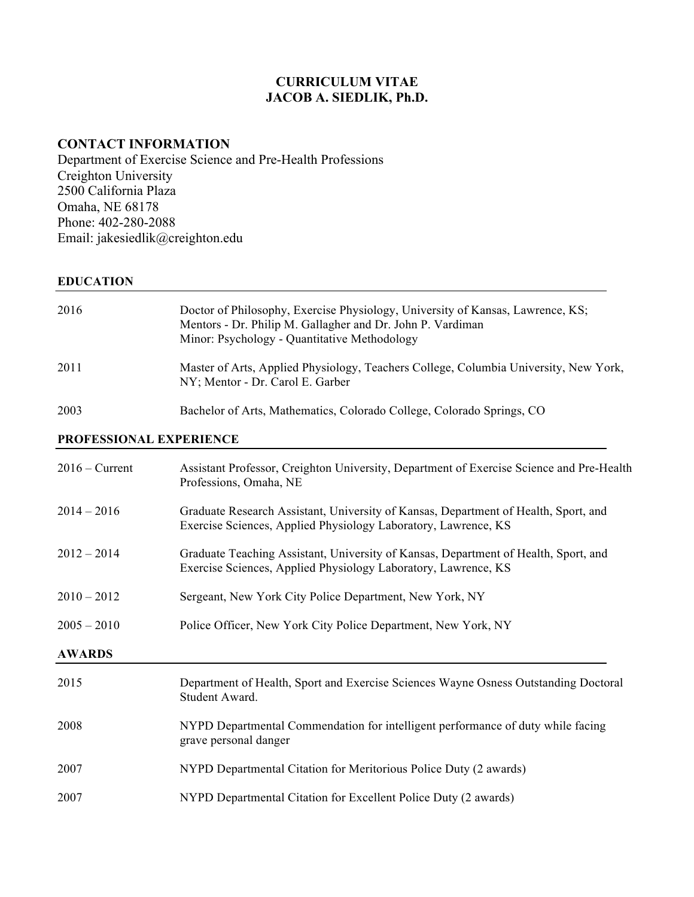# **CURRICULUM VITAE JACOB A. SIEDLIK, Ph.D.**

# **CONTACT INFORMATION**

Department of Exercise Science and Pre-Health Professions Creighton University 2500 California Plaza Omaha, NE 68178 Phone: 402-280-2088 Email: jakesiedlik@creighton.edu

### **EDUCATION**

| 2016 | Doctor of Philosophy, Exercise Physiology, University of Kansas, Lawrence, KS;<br>Mentors - Dr. Philip M. Gallagher and Dr. John P. Vardiman<br>Minor: Psychology - Quantitative Methodology |
|------|----------------------------------------------------------------------------------------------------------------------------------------------------------------------------------------------|
| 2011 | Master of Arts, Applied Physiology, Teachers College, Columbia University, New York,<br>NY; Mentor - Dr. Carol E. Garber                                                                     |

# 2003 Bachelor of Arts, Mathematics, Colorado College, Colorado Springs, CO

## **PROFESSIONAL EXPERIENCE**

| $2016 -$ Current | Assistant Professor, Creighton University, Department of Exercise Science and Pre-Health<br>Professions, Omaha, NE                                    |  |
|------------------|-------------------------------------------------------------------------------------------------------------------------------------------------------|--|
| $2014 - 2016$    | Graduate Research Assistant, University of Kansas, Department of Health, Sport, and<br>Exercise Sciences, Applied Physiology Laboratory, Lawrence, KS |  |
| $2012 - 2014$    | Graduate Teaching Assistant, University of Kansas, Department of Health, Sport, and<br>Exercise Sciences, Applied Physiology Laboratory, Lawrence, KS |  |
| $2010 - 2012$    | Sergeant, New York City Police Department, New York, NY                                                                                               |  |
| $2005 - 2010$    | Police Officer, New York City Police Department, New York, NY                                                                                         |  |
| <b>AWARDS</b>    |                                                                                                                                                       |  |
| 2015             | Department of Health, Sport and Exercise Sciences Wayne Osness Outstanding Doctoral<br>Student Award.                                                 |  |
| 2008             | NYPD Departmental Commendation for intelligent performance of duty while facing<br>grave personal danger                                              |  |
| 2007             | NYPD Departmental Citation for Meritorious Police Duty (2 awards)                                                                                     |  |
| 2007             | NYPD Departmental Citation for Excellent Police Duty (2 awards)                                                                                       |  |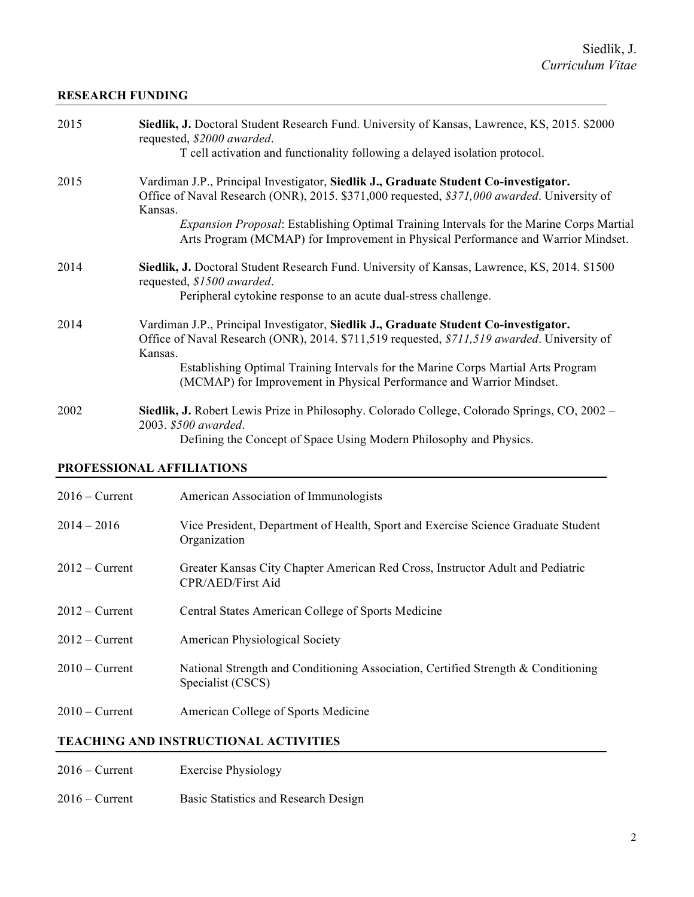## **RESEARCH FUNDING**

| 2015 | Siedlik, J. Doctoral Student Research Fund. University of Kansas, Lawrence, KS, 2015. \$2000<br>requested, \$2000 awarded.<br>T cell activation and functionality following a delayed isolation protocol.                                                                                                                                                                              |
|------|----------------------------------------------------------------------------------------------------------------------------------------------------------------------------------------------------------------------------------------------------------------------------------------------------------------------------------------------------------------------------------------|
| 2015 | Vardiman J.P., Principal Investigator, Siedlik J., Graduate Student Co-investigator.<br>Office of Naval Research (ONR), 2015. \$371,000 requested, \$371,000 awarded. University of<br>Kansas.<br><i>Expansion Proposal:</i> Establishing Optimal Training Intervals for the Marine Corps Martial<br>Arts Program (MCMAP) for Improvement in Physical Performance and Warrior Mindset. |
| 2014 | Siedlik, J. Doctoral Student Research Fund. University of Kansas, Lawrence, KS, 2014. \$1500<br>requested, \$1500 awarded.<br>Peripheral cytokine response to an acute dual-stress challenge.                                                                                                                                                                                          |
| 2014 | Vardiman J.P., Principal Investigator, Siedlik J., Graduate Student Co-investigator.<br>Office of Naval Research (ONR), 2014. \$711,519 requested, \$711,519 awarded. University of<br>Kansas.<br>Establishing Optimal Training Intervals for the Marine Corps Martial Arts Program<br>(MCMAP) for Improvement in Physical Performance and Warrior Mindset.                            |
| 2002 | Siedlik, J. Robert Lewis Prize in Philosophy. Colorado College, Colorado Springs, CO, 2002 –<br>2003. \$500 awarded.<br>Defining the Concept of Space Using Modern Philosophy and Physics.                                                                                                                                                                                             |

## **PROFESSIONAL AFFILIATIONS**

| $2016 -$ Current | American Association of Immunologists                                                                      |
|------------------|------------------------------------------------------------------------------------------------------------|
| $2014 - 2016$    | Vice President, Department of Health, Sport and Exercise Science Graduate Student<br>Organization          |
| $2012 -$ Current | Greater Kansas City Chapter American Red Cross, Instructor Adult and Pediatric<br><b>CPR/AED/First Aid</b> |
| $2012 -$ Current | Central States American College of Sports Medicine                                                         |
| $2012$ – Current | <b>American Physiological Society</b>                                                                      |
| $2010 -$ Current | National Strength and Conditioning Association, Certified Strength & Conditioning<br>Specialist (CSCS)     |
| $2010 -$ Current | American College of Sports Medicine                                                                        |

# **TEACHING AND INSTRUCTIONAL ACTIVITIES**

| $2016 -$ Current | <b>Exercise Physiology</b> |
|------------------|----------------------------|
|------------------|----------------------------|

2016 – Current Basic Statistics and Research Design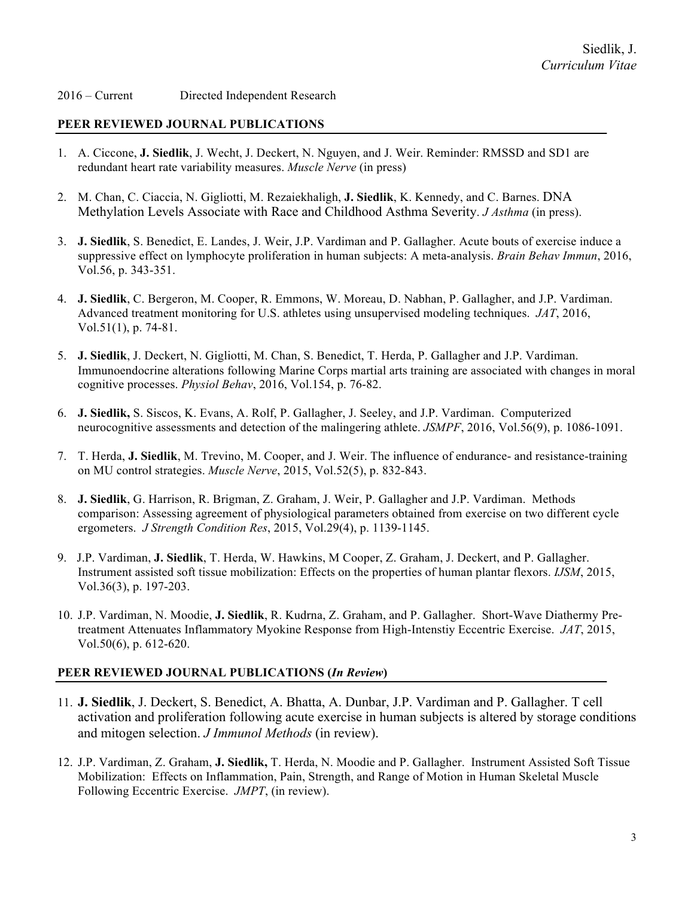### 2016 – Current Directed Independent Research

### **PEER REVIEWED JOURNAL PUBLICATIONS**

- 1. A. Ciccone, **J. Siedlik**, J. Wecht, J. Deckert, N. Nguyen, and J. Weir. Reminder: RMSSD and SD1 are redundant heart rate variability measures. *Muscle Nerve* (in press)
- 2. M. Chan, C. Ciaccia, N. Gigliotti, M. Rezaiekhaligh, **J. Siedlik**, K. Kennedy, and C. Barnes. DNA Methylation Levels Associate with Race and Childhood Asthma Severity. *J Asthma* (in press).
- 3. **J. Siedlik**, S. Benedict, E. Landes, J. Weir, J.P. Vardiman and P. Gallagher. Acute bouts of exercise induce a suppressive effect on lymphocyte proliferation in human subjects: A meta-analysis. *Brain Behav Immun*, 2016, Vol.56, p. 343-351.
- 4. **J. Siedlik**, C. Bergeron, M. Cooper, R. Emmons, W. Moreau, D. Nabhan, P. Gallagher, and J.P. Vardiman. Advanced treatment monitoring for U.S. athletes using unsupervised modeling techniques. *JAT*, 2016, Vol.51(1), p. 74-81.
- 5. **J. Siedlik**, J. Deckert, N. Gigliotti, M. Chan, S. Benedict, T. Herda, P. Gallagher and J.P. Vardiman. Immunoendocrine alterations following Marine Corps martial arts training are associated with changes in moral cognitive processes. *Physiol Behav*, 2016, Vol.154, p. 76-82.
- 6. **J. Siedlik,** S. Siscos, K. Evans, A. Rolf, P. Gallagher, J. Seeley, and J.P. Vardiman. Computerized neurocognitive assessments and detection of the malingering athlete. *JSMPF*, 2016, Vol.56(9), p. 1086-1091.
- 7. T. Herda, **J. Siedlik**, M. Trevino, M. Cooper, and J. Weir. The influence of endurance- and resistance-training on MU control strategies. *Muscle Nerve*, 2015, Vol.52(5), p. 832-843.
- 8. **J. Siedlik**, G. Harrison, R. Brigman, Z. Graham, J. Weir, P. Gallagher and J.P. Vardiman. Methods comparison: Assessing agreement of physiological parameters obtained from exercise on two different cycle ergometers. *J Strength Condition Res*, 2015, Vol.29(4), p. 1139-1145.
- 9. J.P. Vardiman, **J. Siedlik**, T. Herda, W. Hawkins, M Cooper, Z. Graham, J. Deckert, and P. Gallagher. Instrument assisted soft tissue mobilization: Effects on the properties of human plantar flexors. *IJSM*, 2015, Vol.36(3), p. 197-203.
- 10. J.P. Vardiman, N. Moodie, **J. Siedlik**, R. Kudrna, Z. Graham, and P. Gallagher. Short-Wave Diathermy Pretreatment Attenuates Inflammatory Myokine Response from High-Intenstiy Eccentric Exercise. *JAT*, 2015, Vol.50(6), p. 612-620.

### **PEER REVIEWED JOURNAL PUBLICATIONS (***In Review***)**

- 11. **J. Siedlik**, J. Deckert, S. Benedict, A. Bhatta, A. Dunbar, J.P. Vardiman and P. Gallagher. T cell activation and proliferation following acute exercise in human subjects is altered by storage conditions and mitogen selection. *J Immunol Methods* (in review).
- 12. J.P. Vardiman, Z. Graham, **J. Siedlik,** T. Herda, N. Moodie and P. Gallagher. Instrument Assisted Soft Tissue Mobilization: Effects on Inflammation, Pain, Strength, and Range of Motion in Human Skeletal Muscle Following Eccentric Exercise. *JMPT*, (in review).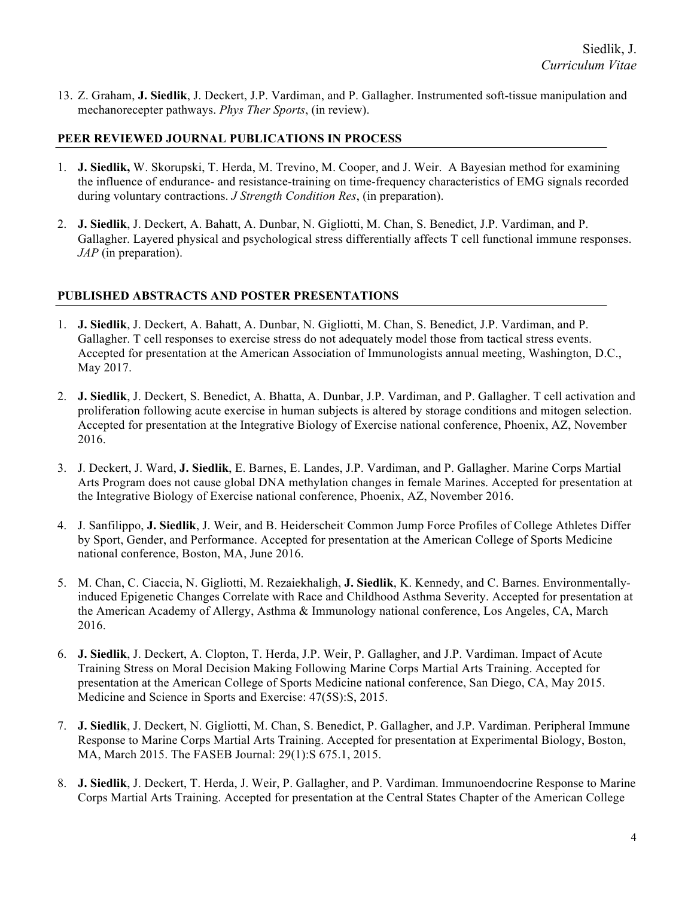13. Z. Graham, **J. Siedlik**, J. Deckert, J.P. Vardiman, and P. Gallagher. Instrumented soft-tissue manipulation and mechanorecepter pathways. *Phys Ther Sports*, (in review).

### **PEER REVIEWED JOURNAL PUBLICATIONS IN PROCESS**

- 1. **J. Siedlik,** W. Skorupski, T. Herda, M. Trevino, M. Cooper, and J. Weir. A Bayesian method for examining the influence of endurance- and resistance-training on time-frequency characteristics of EMG signals recorded during voluntary contractions. *J Strength Condition Res*, (in preparation).
- 2. **J. Siedlik**, J. Deckert, A. Bahatt, A. Dunbar, N. Gigliotti, M. Chan, S. Benedict, J.P. Vardiman, and P. Gallagher. Layered physical and psychological stress differentially affects T cell functional immune responses. *JAP* (in preparation).

### **PUBLISHED ABSTRACTS AND POSTER PRESENTATIONS**

- 1. **J. Siedlik**, J. Deckert, A. Bahatt, A. Dunbar, N. Gigliotti, M. Chan, S. Benedict, J.P. Vardiman, and P. Gallagher. T cell responses to exercise stress do not adequately model those from tactical stress events. Accepted for presentation at the American Association of Immunologists annual meeting, Washington, D.C., May 2017.
- 2. **J. Siedlik**, J. Deckert, S. Benedict, A. Bhatta, A. Dunbar, J.P. Vardiman, and P. Gallagher. T cell activation and proliferation following acute exercise in human subjects is altered by storage conditions and mitogen selection. Accepted for presentation at the Integrative Biology of Exercise national conference, Phoenix, AZ, November 2016.
- 3. J. Deckert, J. Ward, **J. Siedlik**, E. Barnes, E. Landes, J.P. Vardiman, and P. Gallagher. Marine Corps Martial Arts Program does not cause global DNA methylation changes in female Marines. Accepted for presentation at the Integrative Biology of Exercise national conference, Phoenix, AZ, November 2016.
- 4. J. Sanfilippo, **J. Siedlik**, J. Weir, and B. Heiderscheit. Common Jump Force Profiles of College Athletes Differ by Sport, Gender, and Performance. Accepted for presentation at the American College of Sports Medicine national conference, Boston, MA, June 2016.
- 5. M. Chan, C. Ciaccia, N. Gigliotti, M. Rezaiekhaligh, **J. Siedlik**, K. Kennedy, and C. Barnes. Environmentallyinduced Epigenetic Changes Correlate with Race and Childhood Asthma Severity. Accepted for presentation at the American Academy of Allergy, Asthma & Immunology national conference, Los Angeles, CA, March 2016.
- 6. **J. Siedlik**, J. Deckert, A. Clopton, T. Herda, J.P. Weir, P. Gallagher, and J.P. Vardiman. Impact of Acute Training Stress on Moral Decision Making Following Marine Corps Martial Arts Training. Accepted for presentation at the American College of Sports Medicine national conference, San Diego, CA, May 2015. Medicine and Science in Sports and Exercise: 47(5S):S, 2015.
- 7. **J. Siedlik**, J. Deckert, N. Gigliotti, M. Chan, S. Benedict, P. Gallagher, and J.P. Vardiman. Peripheral Immune Response to Marine Corps Martial Arts Training. Accepted for presentation at Experimental Biology, Boston, MA, March 2015. The FASEB Journal: 29(1):S 675.1, 2015.
- 8. **J. Siedlik**, J. Deckert, T. Herda, J. Weir, P. Gallagher, and P. Vardiman. Immunoendocrine Response to Marine Corps Martial Arts Training. Accepted for presentation at the Central States Chapter of the American College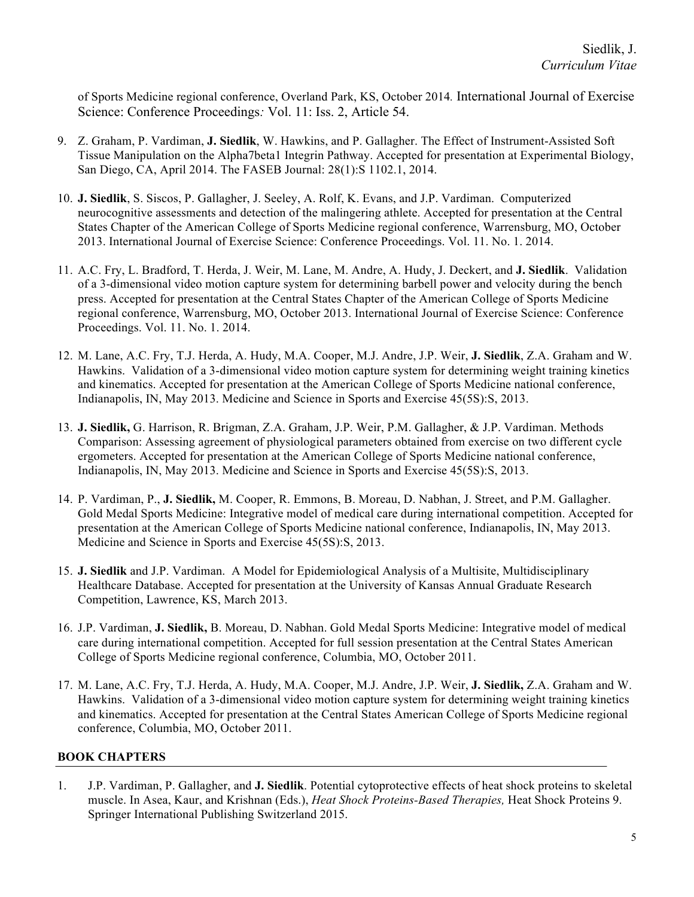of Sports Medicine regional conference, Overland Park, KS, October 2014*.* International Journal of Exercise Science: Conference Proceedings*:* Vol. 11: Iss. 2, Article 54.

- 9. Z. Graham, P. Vardiman, **J. Siedlik**, W. Hawkins, and P. Gallagher. The Effect of Instrument-Assisted Soft Tissue Manipulation on the Alpha7beta1 Integrin Pathway. Accepted for presentation at Experimental Biology, San Diego, CA, April 2014. The FASEB Journal: 28(1):S 1102.1, 2014.
- 10. **J. Siedlik**, S. Siscos, P. Gallagher, J. Seeley, A. Rolf, K. Evans, and J.P. Vardiman. Computerized neurocognitive assessments and detection of the malingering athlete. Accepted for presentation at the Central States Chapter of the American College of Sports Medicine regional conference, Warrensburg, MO, October 2013. International Journal of Exercise Science: Conference Proceedings. Vol. 11. No. 1. 2014.
- 11. A.C. Fry, L. Bradford, T. Herda, J. Weir, M. Lane, M. Andre, A. Hudy, J. Deckert, and **J. Siedlik**. Validation of a 3-dimensional video motion capture system for determining barbell power and velocity during the bench press. Accepted for presentation at the Central States Chapter of the American College of Sports Medicine regional conference, Warrensburg, MO, October 2013. International Journal of Exercise Science: Conference Proceedings. Vol. 11. No. 1. 2014.
- 12. M. Lane, A.C. Fry, T.J. Herda, A. Hudy, M.A. Cooper, M.J. Andre, J.P. Weir, **J. Siedlik**, Z.A. Graham and W. Hawkins. Validation of a 3-dimensional video motion capture system for determining weight training kinetics and kinematics. Accepted for presentation at the American College of Sports Medicine national conference, Indianapolis, IN, May 2013. Medicine and Science in Sports and Exercise 45(5S):S, 2013.
- 13. **J. Siedlik,** G. Harrison, R. Brigman, Z.A. Graham, J.P. Weir, P.M. Gallagher, & J.P. Vardiman. Methods Comparison: Assessing agreement of physiological parameters obtained from exercise on two different cycle ergometers. Accepted for presentation at the American College of Sports Medicine national conference, Indianapolis, IN, May 2013. Medicine and Science in Sports and Exercise 45(5S):S, 2013.
- 14. P. Vardiman, P., **J. Siedlik,** M. Cooper, R. Emmons, B. Moreau, D. Nabhan, J. Street, and P.M. Gallagher. Gold Medal Sports Medicine: Integrative model of medical care during international competition. Accepted for presentation at the American College of Sports Medicine national conference, Indianapolis, IN, May 2013. Medicine and Science in Sports and Exercise 45(5S):S, 2013.
- 15. **J. Siedlik** and J.P. Vardiman. A Model for Epidemiological Analysis of a Multisite, Multidisciplinary Healthcare Database. Accepted for presentation at the University of Kansas Annual Graduate Research Competition, Lawrence, KS, March 2013.
- 16. J.P. Vardiman, **J. Siedlik,** B. Moreau, D. Nabhan. Gold Medal Sports Medicine: Integrative model of medical care during international competition. Accepted for full session presentation at the Central States American College of Sports Medicine regional conference, Columbia, MO, October 2011.
- 17. M. Lane, A.C. Fry, T.J. Herda, A. Hudy, M.A. Cooper, M.J. Andre, J.P. Weir, **J. Siedlik,** Z.A. Graham and W. Hawkins. Validation of a 3-dimensional video motion capture system for determining weight training kinetics and kinematics. Accepted for presentation at the Central States American College of Sports Medicine regional conference, Columbia, MO, October 2011.

## **BOOK CHAPTERS**

1. J.P. Vardiman, P. Gallagher, and **J. Siedlik**. Potential cytoprotective effects of heat shock proteins to skeletal muscle. In Asea, Kaur, and Krishnan (Eds.), *Heat Shock Proteins-Based Therapies,* Heat Shock Proteins 9. Springer International Publishing Switzerland 2015.